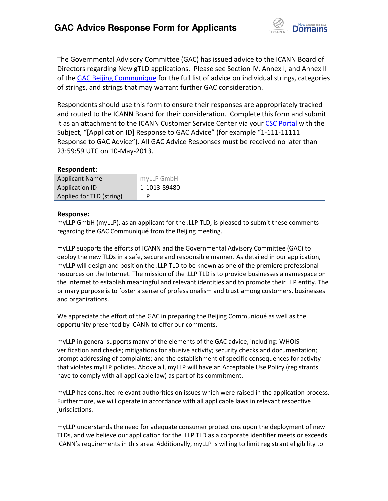

The Governmental Advisory Committee (GAC) has issued advice to the ICANN Board of Directors regarding New gTLD applications. Please see Section IV, Annex I, and Annex II of th[e GAC Beijing Communique](http://www.icann.org/en/news/correspondence/gac-to-board-18apr13-en.pdf) for the full list of advice on individual strings, categories of strings, and strings that may warrant further GAC consideration.

Respondents should use this form to ensure their responses are appropriately tracked and routed to the ICANN Board for their consideration. Complete this form and submit it as an attachment to the ICANN Customer Service Center via your CSC [Portal](https://myicann.secure.force.com/) with the Subject, "[Application ID] Response to GAC Advice" (for example "1-111-11111 Response to GAC Advice"). All GAC Advice Responses must be received no later than 23:59:59 UTC on 10-May-2013.

## **Respondent:**

| <b>Applicant Name</b>    | myLLP GmbH   |
|--------------------------|--------------|
| Application ID           | 1-1013-89480 |
| Applied for TLD (string) | LLP          |

## **Response:**

myLLP GmbH (myLLP), as an applicant for the .LLP TLD, is pleased to submit these comments regarding the GAC Communiqué from the Beijing meeting.

myLLP supports the efforts of ICANN and the Governmental Advisory Committee (GAC) to deploy the new TLDs in a safe, secure and responsible manner. As detailed in our application, myLLP will design and position the .LLP TLD to be known as one of the premiere professional resources on the Internet. The mission of the .LLP TLD is to provide businesses a namespace on the Internet to establish meaningful and relevant identities and to promote their LLP entity. The primary purpose is to foster a sense of professionalism and trust among customers, businesses and organizations.

We appreciate the effort of the GAC in preparing the Beijing Communiqué as well as the opportunity presented by ICANN to offer our comments.

myLLP in general supports many of the elements of the GAC advice, including: WHOIS verification and checks; mitigations for abusive activity; security checks and documentation; prompt addressing of complaints; and the establishment of specific consequences for activity that violates myLLP policies. Above all, myLLP will have an Acceptable Use Policy (registrants have to comply with all applicable law) as part of its commitment.

myLLP has consulted relevant authorities on issues which were raised in the application process. Furthermore, we will operate in accordance with all applicable laws in relevant respective jurisdictions.

myLLP understands the need for adequate consumer protections upon the deployment of new TLDs, and we believe our application for the .LLP TLD as a corporate identifier meets or exceeds ICANN's requirements in this area. Additionally, myLLP is willing to limit registrant eligibility to